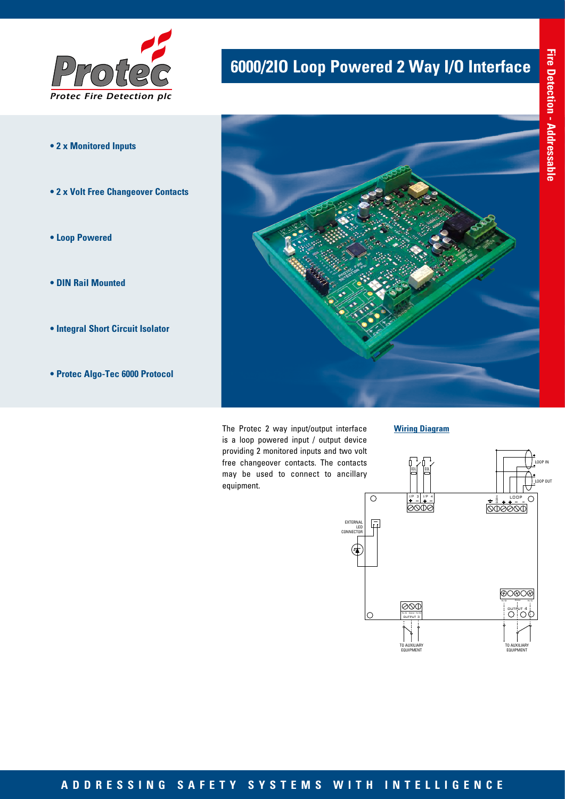

- **2 x Monitored Inputs**
- **2 x Volt Free Changeover Contacts**
- **Loop Powered**
- **DIN Rail Mounted**
- **Integral Short Circuit Isolator**
- **Protec Algo-Tec 6000 Protocol**

## **6000/2IO Loop Powered 2 Way I/O Interface**



The Protec 2 way input/output interface is a loop powered input / output device providing 2 monitored inputs and two volt free changeover contacts. The contacts may be used to connect to ancillary equipment.

**Wiring Diagram**